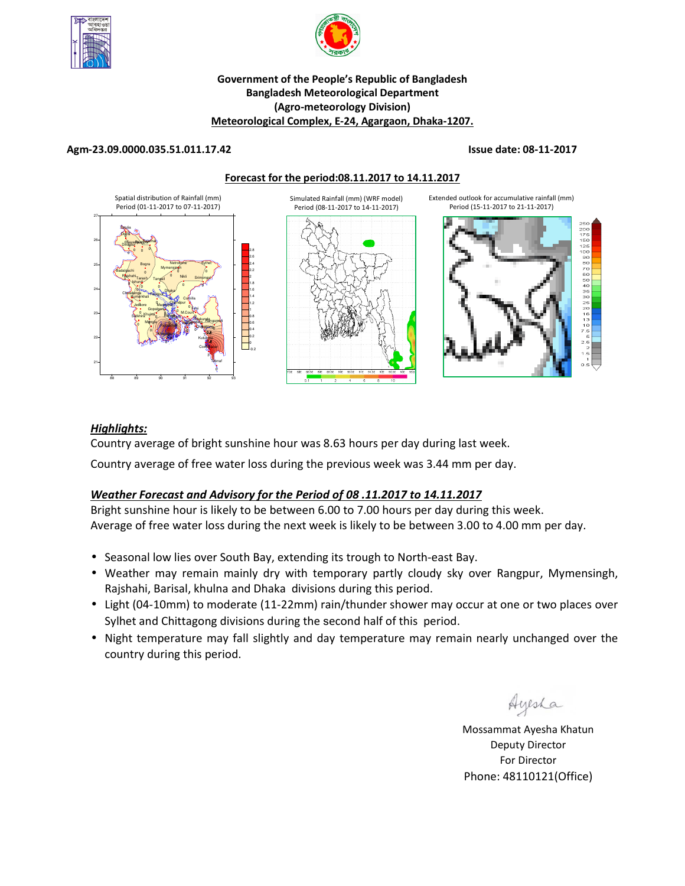



#### **Government of the People's Republic of Bangladesh Bangladesh Meteorological Department (Agro-meteorology Division) Meteorological Complex, E-24, Agargaon, Dhaka-1207.**

#### **Agm-23.09.0000.035.51.011.17.42 Issue date: 08-11-2017**

**Forecast for the period:08.11.2017 to 14.11.2017**



## *Highlights:*

Country average of bright sunshine hour was 8.63 hours per day during last week.

Country average of free water loss during the previous week was 3.44 mm per day.

# *Weather Forecast and Advisory for the Period of 08 .11.2017 to 14.11.2017*

Bright sunshine hour is likely to be between 6.00 to 7.00 hours per day during this week. Average of free water loss during the next week is likely to be between 3.00 to 4.00 mm per day.

- Seasonal low lies over South Bay, extending its trough to North-east Bay.
- Weather may remain mainly dry with temporary partly cloudy sky over Rangpur, Mymensingh, Rajshahi, Barisal, khulna and Dhaka divisions during this period.
- Light (04-10mm) to moderate (11-22mm) rain/thunder shower may occur at one or two places over Sylhet and Chittagong divisions during the second half of this period.
- Night temperature may fall slightly and day temperature may remain nearly unchanged over the country during this period.

Ayesha

**N.B** Mossammat Ayesha Khatun Deputy Director For Director Phone: 48110121(Office)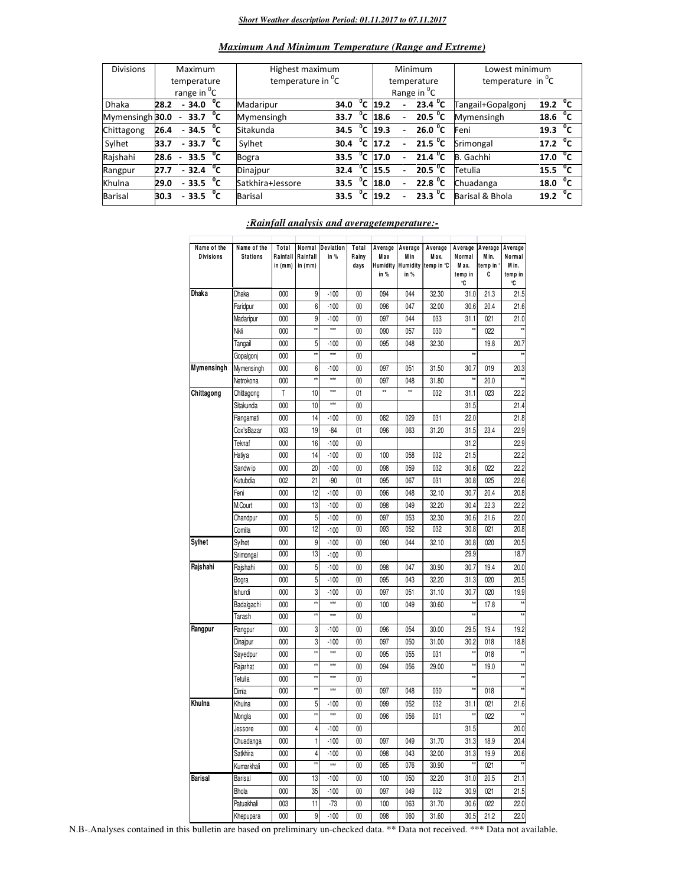#### *Short Weather description Period: 01.11.2017 to 07.11.2017*

| <b>Divisions</b> | Maximum                 |                          |                        |              | Highest maximum               |      |                |                         |                          | Minimum                          | Lowest minimum       |                     |    |
|------------------|-------------------------|--------------------------|------------------------|--------------|-------------------------------|------|----------------|-------------------------|--------------------------|----------------------------------|----------------------|---------------------|----|
|                  | temperature             |                          |                        |              | temperature in <sup>"</sup> C |      |                | temperature             |                          |                                  | temperature in $^0C$ |                     |    |
|                  | range in <sup>o</sup> C |                          |                        |              |                               |      |                | Range in <sup>O</sup> C |                          |                                  |                      |                     |    |
| <b>Dhaka</b>     | 28.2                    |                          | $-34.0 °C$             |              | Madaripur                     | 34.0 |                | $\overline{^0}$ C 19.2  |                          | 23.4 $^{\circ}$ C                | Tangail+Gopalgonj    | 19.2                | °⊂ |
| Mymensingh 30.0  |                         | $\overline{\phantom{0}}$ | 33.7 $^{\circ}$ C      |              | Mymensingh                    | 33.7 | $^0$ C         | 18.6                    | $\overline{\phantom{0}}$ | 20.5 $^{\circ}$ C                | Mymensingh           | 18.6 $^{0}C$        |    |
| Chittagong       | 26.4                    |                          | $-34.5\degree$ C       |              | Sitakunda                     | 34.5 |                | $\overline{^0}$ C 19.3  |                          | 26.0 $\degree$ C                 | Feni                 | 19.3 $^{0}C$        |    |
| Sylhet           | 33.7                    |                          | $-33.7$ <sup>o</sup> C |              | Sylhet                        | 30.4 | °c             | 17.2                    | $\overline{\phantom{0}}$ | $\overline{21.5}$ <sup>o</sup> C | Srimongal            | 17.2 $^{\circ}$ C   |    |
| Rajshahi         | 28.6                    | $\overline{\phantom{0}}$ | 33.5                   | °⊂           | <b>Bogra</b>                  | 33.5 | $\overline{c}$ | 17.0                    |                          | $\overline{21.4}^{\,0}$ C        | B. Gachhi            | 17.0 <sup>o</sup> C |    |
| Rangpur          | 27.7                    |                          | $-32.4$                | $^{\circ}$ c | Dinajpur                      | 32.4 | °c             | 15.5                    |                          | 20.5 $^{\circ}$ C                | Tetulia              | 15.5 $\mathrm{^0C}$ |    |
| Khulna           | 29.0                    |                          | $-33.5$                | °c           | Satkhira+Jessore              | 33.5 | $\overline{c}$ | 18.0                    |                          | $22.8\text{ °C}$                 | Chuadanga            | 18.0                | °c |
| <b>Barisal</b>   | 30.3                    |                          | $-33.5$                | °c           | <b>Barisal</b>                | 33.5 | °c             | 19.2                    |                          | 23.3 $^{\circ}$ C                | Barisal & Bhola      | 19.2                |    |
|                  |                         |                          |                        |              |                               |      |                |                         |                          |                                  |                      |                     |    |

#### *Maximum And Minimum Temperature (Range and Extreme)*

| Name of the<br><b>Divisions</b> | Name of the<br><b>Stations</b> | Total<br>Rainfall<br>in (mm) | Rainfall<br>in $(mm)$ | Normal Deviation<br>in % | Total<br>Rainy<br>days | Average<br>Max<br>in % | Average<br>Min<br>in % | Average<br>Max.<br>Humidity Humidity temp in °C | Average<br>Normal<br>M ax.<br>temp in<br>°C | Average<br>Min.<br>temp in °<br>C | Average<br>Normal<br>M in.<br>temp in<br>°C |
|---------------------------------|--------------------------------|------------------------------|-----------------------|--------------------------|------------------------|------------------------|------------------------|-------------------------------------------------|---------------------------------------------|-----------------------------------|---------------------------------------------|
| Dhaka                           | Dhaka                          | 000                          | 9                     | $-100$                   | $00\,$                 | 094                    | 044                    | 32.30                                           | 31.0                                        | 21.3                              | 21.5                                        |
|                                 | Faridpur                       | 000                          | $6\phantom{1}$        | $-100$                   | 00                     | 096                    | 047                    | 32.00                                           | 30.6                                        | 20.4                              | 21.6                                        |
|                                 | Madaripur                      | 000                          | 9                     | $-100$                   | 00                     | 097                    | 044                    | 033                                             | 31.1                                        | 021                               | 21.0                                        |
|                                 | Nikli                          | 000                          | xx                    | xxx                      | $00\,$                 | 090                    | 057                    | 030                                             |                                             | 022                               |                                             |
|                                 | Tangail                        | 000                          | 5                     | $-100$                   | $00\,$                 | 095                    | 048                    | 32.30                                           |                                             | 19.8                              | 20.7                                        |
|                                 | Gopalgonj                      | 000                          | ÷,                    | xxx                      | $00\,$                 |                        |                        |                                                 |                                             |                                   |                                             |
| Mymensingh                      | Mymensingh                     | 000                          | 6                     | $-100$                   | $00\,$                 | 097                    | 051                    | 31.50                                           | 30.7                                        | 019                               | 20.3                                        |
|                                 | Netrokona                      | 000                          | ÷,                    | xxx                      | $00\,$                 | 097                    | 048                    | 31.80                                           | ×                                           | 20.0                              | ÷.                                          |
| Chittagong                      | Chittagong                     | T                            | 10                    | $\star \star$            | 01                     | x                      | x                      | 032                                             | 31.1                                        | 023                               | 22.2                                        |
|                                 | Sitakunda                      | 000                          | 10                    | $\pm \pm \pm$            | $00\,$                 |                        |                        |                                                 | 31.5                                        |                                   | 21.4                                        |
|                                 | Rangamati                      | 000                          | 14                    | $-100$                   | $00\,$                 | 082                    | 029                    | 031                                             | 22.0                                        |                                   | 21.8                                        |
|                                 | Cox'sBazar                     | 003                          | 19                    | $-84$                    | 01                     | 096                    | 063                    | 31.20                                           | 31.5                                        | 23.4                              | 22.9                                        |
|                                 | Teknaf                         | 000                          | 16                    | $-100$                   | $00\,$                 |                        |                        |                                                 | 31.2                                        |                                   | 22.9                                        |
|                                 | Hatiya                         | 000                          | 14                    | $-100$                   | $00\,$                 | 100                    | 058                    | 032                                             | 21.5                                        |                                   | 22.2                                        |
|                                 | Sandw ip                       | 000                          | 20                    | $-100$                   | $00\,$                 | 098                    | 059                    | 032                                             | 30.6                                        | 022                               | 22.2                                        |
|                                 | Kutubdia                       | 002                          | 21                    | $-90$                    | 01                     | 095                    | 067                    | 031                                             | 30.8                                        | 025                               | 22.6                                        |
|                                 | Feni                           | 000                          | 12                    | $-100$                   | 00                     | 096                    | 048                    | 32.10                                           | 30.7                                        | 20.4                              | 20.8                                        |
|                                 | M.Court                        | 000                          | 13                    | $-100$                   | $00\,$                 | 098                    | 049                    | 32.20                                           | 30.4                                        | 22.3                              | 22.2                                        |
|                                 | Chandpur                       | 000                          | 5                     | $-100$                   | $00\,$                 | 097                    | 053                    | 32.30                                           | 30.6                                        | 21.6                              | 22.0                                        |
|                                 | Comilla                        | 000                          | 12                    | $-100$                   | $00\,$                 | 093                    | 052                    | 032                                             | 30.8                                        | 021                               | 20.8                                        |
| <b>Sylhet</b>                   | Sylhet                         | 000                          | 9                     | $-100$                   | $00\,$                 | 090                    | 044                    | 32.10                                           | 30.8                                        | 020                               | 20.5                                        |
|                                 | Srimongal                      | 000                          | 13                    | $-100$                   | 00                     |                        |                        |                                                 | 29.9                                        |                                   | 18.7                                        |
| Rajshahi                        | Rajshahi                       | 000                          | 5                     | $-100$                   | $00\,$                 | 098                    | 047                    | 30.90                                           | 30.7                                        | 19.4                              | 20.0                                        |
|                                 | Bogra                          | 000                          | 5                     | $-100$                   | $00\,$                 | 095                    | 043                    | 32.20                                           | 31.3                                        | 020                               | 20.5                                        |
|                                 | <b>Ishurdi</b>                 | 000                          | 3                     | $-100$                   | $00\,$                 | 097                    | 051                    | 31.10                                           | 30.7                                        | 020                               | 19.9                                        |
|                                 | Badalgachi                     | 000                          | ÷,                    | xxx                      | $00\,$                 | 100                    | 049                    | 30.60                                           |                                             | 17.8                              |                                             |
|                                 | Tarash                         | 000                          | x                     | xxx                      | $00\,$                 |                        |                        |                                                 |                                             |                                   |                                             |
| Rangpur                         | Rangpur                        | 000                          | 3                     | $-100$                   | $00\,$                 | 096                    | 054                    | 30.00                                           | 29.5                                        | 19.4                              | 19.2                                        |
|                                 | Dinajpur                       | 000                          | 3                     | $-100$                   | $00\,$                 | 097                    | 050                    | 31.00                                           | 30.2                                        | 018                               | 18.8                                        |
|                                 | Sayedpur                       | 000                          | ÷,                    | $\overline{111}$         | 00                     | 095                    | 055                    | 031                                             | ŧż                                          | 018                               | $\dot{x}$                                   |
|                                 | Rajarhat                       | 000                          | xx                    | $\pm \pm \pm$            | $00\,$                 | 094                    | 056                    | 29.00                                           | ŧż                                          | 19.0                              |                                             |
|                                 | Tetulia                        | 000                          | xx                    | $\pm i\pm$               | 00                     |                        |                        |                                                 | x,                                          |                                   | ÷.                                          |
|                                 | Dimla                          | 000                          | źź                    | $\pm i\pm$               | $00\,$                 | 097                    | 048                    | 030                                             | żź                                          | 018                               |                                             |
| Khulna                          | Khulna                         | 000                          | 5                     | $-100$                   | 00                     | 099                    | 052                    | 032                                             | 31.1                                        | 021                               | 21.6                                        |
|                                 | Mongla                         | 000                          | xx                    | xxx                      | $00\,$                 | 096                    | 056                    | 031                                             | $\star\star$                                | 022                               | żź                                          |
|                                 | Jessore                        | 000                          | 4                     | $-100$                   | $00\,$                 |                        |                        |                                                 | 31.5                                        |                                   | 20.0                                        |
|                                 | Chuadanga                      | 000                          | 1                     | $-100$                   | $00\,$                 | 097                    | 049                    | 31.70                                           | 31.3                                        | 18.9                              | 20.4                                        |
|                                 | Satkhira                       | 000                          | 4                     | $-100$                   | $00\,$                 | 098                    | 043                    | 32.00                                           | 31.3                                        | 19.9                              | 20.6                                        |
|                                 | Kumarkhali                     | 000                          | H                     | xxx                      | 00                     | 085                    | 076                    | 30.90                                           |                                             | 021                               |                                             |
| <b>Barisal</b>                  | Barisal                        | 000                          | 13                    | $-100$                   | $00\,$                 | 100                    | 050                    | 32.20                                           | 31.0                                        | 20.5                              | 21.1                                        |
|                                 | Bhola                          | 000                          | 35                    | $-100$                   | $00\,$                 | 097                    | 049                    | 032                                             | 30.9                                        | 021                               | 21.5                                        |
|                                 | Patuakhali                     | 003                          | 11                    | $-73$                    | $00\,$                 | 100                    | 063                    | 31.70                                           | 30.6                                        | 022                               | 22.0                                        |
|                                 | Khepupara                      | 000                          | 9                     | $-100$                   | $00\,$                 | 098                    | 060                    | 31.60                                           | 30.5                                        | 21.2                              | 22.0                                        |

#### *:Rainfall analysis and averagetemperature:-*

N.B-.Analyses contained in this bulletin are based on preliminary un-checked data. \*\* Data not received. \*\*\* Data not available.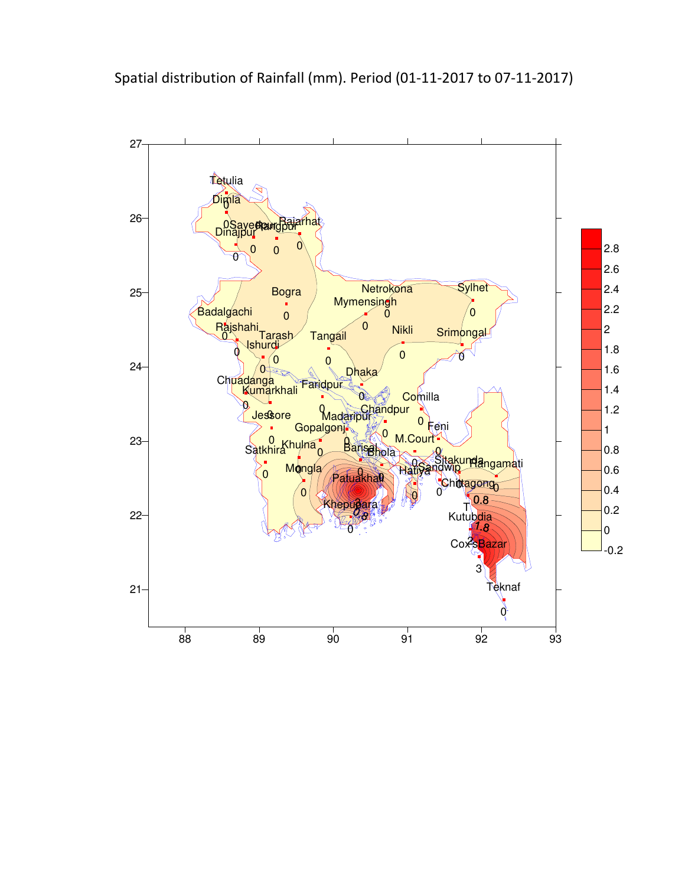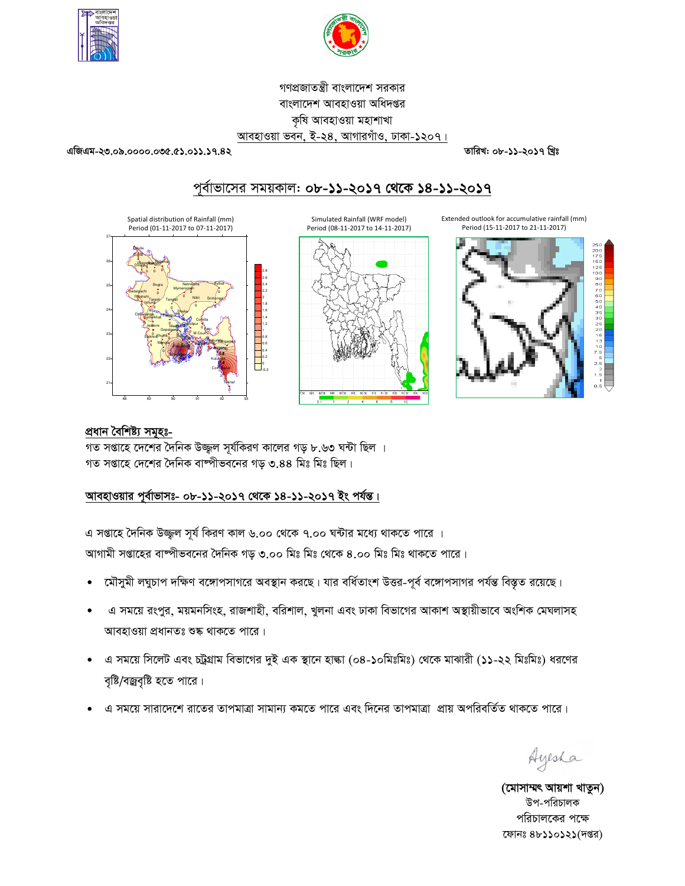



গণপ্রজাতন্ত্রী বাংলাদেশ সরকার বাংলাদেশ আবহাওয়া অধিদপ্তর কৃষি আবহাওয়া মহাশাখা আবহাওয়া ভবন, ই-২৪, আগারগাঁও, ঢাকা-১২০৭।

এজিএম-২৩.০৯.০০০০.০৩৫.৫১.০১১.১৭.৪২

তারিখ: ০৮-১১-২০১৭ খ্রিঃ

# পূর্বাভাসের সময়কাল: ০৮-১১-২০১৭ থেকে ১৪-১১-২০১৭





Extended outlook for accumulative rainfall (mm) Period (15-11-2017 to 21-11-2017)



#### প্ৰধান বৈশিষ্ট্য সমূহঃ-

গত সপ্তাহে দেশের দৈনিক উজ্জ্বল সূর্যকিরণ কালের গড় ৮.৬৩ ঘন্টা ছিল । গত সপ্তাহে দেশের দৈনিক বাষ্পীভবনের গড় ৩.৪৪ মিঃ মিঃ ছিল।

## আবহাওয়ার পূর্বাভাসঃ- ০৮-১১-২০১৭ থেকে ১৪-১১-২০১৭ ইং পর্যন্ত।

এ সপ্তাহে দৈনিক উজ্জল সূর্য কিরণ কাল ৬.০০ থেকে ৭.০০ ঘন্টার মধ্যে থাকতে পারে ।

আগামী সপ্তাহের বাষ্পীভবনের দৈনিক গড় ৩.০০ মিঃ মিঃ থেকে ৪.০০ মিঃ মিঃ থাকতে পারে।

- মৌসুমী লঘুচাপ দক্ষিণ বঙ্গোপসাগরে অবস্থান করছে। যার বর্ধিতাংশ উত্তর-পূর্ব বঙ্গোপসাগর পর্যন্ত বিস্তৃত রয়েছে। ò
- এ সময়ে রংপুর, ময়মনসিংহ, রাজশাহী, বরিশাল, খুলনা এবং ঢাকা বিভাগের আকাশ অস্থায়ীভাবে অংশিক মেঘলাসহ আবহাওয়া প্রধানতঃ শুষ্ক থাকতে পারে।
- এ সময়ে সিলেট এবং চট্রগ্রাম বিভাগের দুই এক স্থানে হাঙ্কা (০৪-১০মিঃমিঃ) থেকে মাঝারী (১১-২২ মিঃমিঃ) ধরণের বৃষ্টি/বজ্রবৃষ্টি হতে পারে।
- এ সময়ে সারাদেশে রাতের তাপমাত্রা সামান্য কমতে পারে এবং দিনের তাপমাত্রা প্রায় অপরিবর্তিত থাকতে পারে।

Ayesha

(মোসাম্মৎ আয়শা খাতুন) উপ-পরিচালক পরিচালকের পক্ষে ফোনঃ ৪৮১১০১২১(দপ্তর)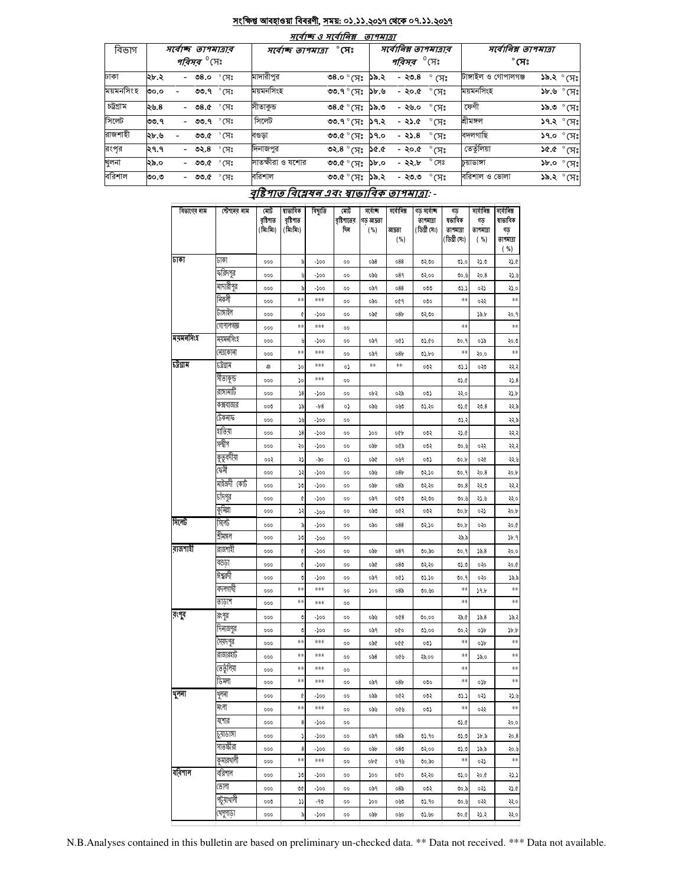### <u>সংক্ষিপ্ত আবহাওয়া বিবরণী, সময়: ০১.১১.২০১৭ থেকে ০৭.১১.২০১৭</u>

|           |                               | માવાજ્ઞ હ માવાાનક્ષ                     | <i>פואיזפ</i> י                              |                                           |  |  |  |
|-----------|-------------------------------|-----------------------------------------|----------------------------------------------|-------------------------------------------|--|--|--|
| বিভাগ     | সৰ্বোচ্ছ তাপমাত্ৰাৰ           | $^\circ$ সেঃ<br>সৰ্বোচ্ছ ত্ৰাপমাত্ৰা    | সর্বোনিম্ন তাপমাত্রার                        | সর্বোনিম্ন তাপমাত্রা                      |  |  |  |
|           | <i>পরিসর <sup>৩</sup></i> সেঃ |                                         | <i><b>পরিসর <sup>৩</sup>(সং</b></i>          | $^\circ$ সেঃ                              |  |  |  |
| ঢাকা      | ২৮.২<br>- 08.0 °(ూ:           | মাদারীপুর<br>৩৪.০ ° সেঃ                 | ੰ (ਸ $\degree$<br>- ২৩.৪<br>১৯.২             | টাঙ্গাইল ও গোপালগঞ্জ<br><b>১৯.২</b> ° সেঃ |  |  |  |
| ময়মনসিংহ | ৩৩.৭ ° সেঃ                    | ময়মনসিংহ                               | $^\circ$ (ਸਃ                                 | ময়মনসিংহ                                 |  |  |  |
|           | ৩০.০                          | ৩৩.৭° (সঃ ১৮.৬                          | - ২০.৫                                       | $3b.9$ $^{\circ}$ (সঃ                     |  |  |  |
| চট্টগ্ৰাম | - ৩৪.৫ ° সেঃ                  | সীতাকুড                                 | - ২৬.০                                       | ফেণী                                      |  |  |  |
|           | ২৬.৪                          | $\circ$ .৫ $\circ$ ম $\circ$ ১৯.৩       | $\degree$ CH $\degree$                       | $\mathcal{S}^{\infty}$ ৩.৯১               |  |  |  |
| সিলেট     | - <b>৩৩.৭</b> °সেঃ            | সিলেট                                   | $\degree$ CF)                                | শ্ৰীমঙ্গল                                 |  |  |  |
|           | ৩৩.৭                          | ৩৩.৭ $^{\circ}$ সেঃ ১৭.২                | - ২১.৫                                       | $39.2 °(T)$ ঃ                             |  |  |  |
| রাজশাহী   | ২৮.৬                          | ৩৩.৫ $^{\circ}$ (সঃ ১৭.০                | $^{\circ}$ সেঃ                               | বদলগাছি                                   |  |  |  |
|           | ৩৩.৫ ° সেঃ                    | বণ্ডডা                                  | $-25.8$                                      | $SP^{\circ}$ o.P2                         |  |  |  |
| রংপর      | - ৩২.৪ °সেঃ                   | ৩২.৪ $^{\circ}$ (সঃ ১৫.৫                | $^{\circ}$ সেঃ                               | তেতুঁলিয়া                                |  |  |  |
|           | ২৭.৭                          | দিনাজপুর                                | - ২০.৫                                       | $$3F$ ) $^{\circ}$ $$.94$                 |  |  |  |
| খুলনা     | - ৩৩.৫ ° সেঃ<br>২৯.০          | সাতক্ষীরা ও যশোর<br>৩৩.৫ $^{\circ}$ (সঃ | $^{\circ}$ সেঃ<br>- ২২.৮<br>$\mathcal{S}$ .0 | $~3b$ .0 $~\circ$ (H:<br>চয়াডাঙ্গা       |  |  |  |
| বরিশাল    | - ৩৩.৫ ° সেঃ                  | বরিশাল                                  | $\degree$ CF)                                | বরিশাল ও ভোলা                             |  |  |  |
|           | ৩০.৩                          | ৩৩.৫° (সঃ ১৯.২                          | - ২৩.৩                                       | ১৯.২ ° সেঃ                                |  |  |  |

#### বৃষ্টিপাত বিশ্লেষন এবং স্বাভাবিক তাপমাত্রা: -

| বিভাগের নাম | স্টেশনের নাম        | মোট<br>বৃষ্টিপাত<br>(মিঃমিঃ) | ষাভাবিক<br>বৃষ্টিগাত<br>(মিঃমিঃ) | বিছ্যুতি | মোট<br>বৃষ্টিপাতের<br>দিন | সৰ্বোচ্ছ<br>গড আদ্ৰতা<br>( %) | সৰ্বোনিম্ন<br>আদ্ৰতা<br>( %) | গড সৰ্বোচ্ছ<br>তাপমাত্রা<br>(ডিগ্ৰী সেঃ) | গড<br>ষভাবিক<br>তাপমাত্রা<br>[ডিগ্ৰী সেঃ) | সৰ্বোনিম্ন<br>গড<br>তাপমাত্রা<br>( %) | সৰ্বোনিম্ন<br>ষাতাবিক<br>গড<br>তাপমাত্রা<br>( %) |
|-------------|---------------------|------------------------------|----------------------------------|----------|---------------------------|-------------------------------|------------------------------|------------------------------------------|-------------------------------------------|---------------------------------------|--------------------------------------------------|
| जरू         | ঢাকা                | 000                          | ৯                                | -200     | 00                        | 0.88                          | 088                          | 02,00                                    | 05.0                                      | ২১.৩                                  | ২১.৫                                             |
|             | ফরিদপুর             | 000                          | y                                | -200     | 00                        | ಂನಿಸಿ                         | 089                          | ৩২.০০                                    | 90.9                                      | २०.8                                  | ২১.৬                                             |
|             | মাদারীপুর           | 000                          | ৯                                | -১০০     | 00                        | ०৯१                           | 088                          | 000                                      | د ده                                      | ०३১                                   | ২১.০                                             |
|             | बिकर्ने             | 000                          | **                               | ***      | 00                        | 090                           | ०৫१                          | 000                                      | **                                        | ०२२                                   | **                                               |
|             | টাঙ্গাইল            | 000                          | ¢                                | -200     | 00                        | ०५৫                           | 08 <sub>b</sub>              | 02.00                                    |                                           | $\mathcal{V}$                         | २०.१                                             |
|             | গোপালগজ্ঞ           | 000                          | $**$                             | ***      | 00                        |                               |                              |                                          | **                                        |                                       | **                                               |
| ময়মনসিংহ   | ময়মনসিংহ           | 000                          | y                                | -200     | 00                        | ०৯१                           | 00)                          | 05.60                                    | 00.9                                      | ০১৯                                   | ২০.৩                                             |
|             | নেত্ৰকোনা           | 000                          | $**$                             | ***      | 00                        | ०৯१                           | 08 <sub>b</sub>              | 02.40                                    | **                                        | २०.०                                  | $\ast\ast$                                       |
| ঢট্ৰগ্ৰাম   | ঢট্ৰগ্ৰাম           | G                            | ۵o                               | ***      | ٥Ş                        | **                            | $\ast\ast$                   | ০৩২                                      | د ده                                      | 050                                   | ૨૨.૨                                             |
|             | সীতাকুন্ড           | 000                          | 50                               | ***      | 00                        |                               |                              |                                          | OS.C                                      |                                       | 3.8                                              |
|             | রাঙ্গামাটি          | 000                          | 38                               | -200     | 00                        | ০৮২                           | ০২৯                          | 00)                                      | २२.०                                      |                                       | ২১.৮                                             |
|             | কক্সবাজার           | 000                          | ১৯                               | $-b8$    | ٥S                        | იას                           | 000                          | ৩১.২০                                    | OS.C                                      | 20.8                                  | २२.৯                                             |
|             | টেকনাফ              | 000                          | ১৬                               | -200     | 00                        |                               |                              |                                          | 05.3                                      |                                       | 559                                              |
|             | যতিয়া              | 000                          | 38                               | -200     | 00                        | 200                           | oQp                          | ০৩২                                      | ২১.৫                                      |                                       | ૨૨.૨                                             |
|             | সন্দ্বীপ            | 000                          | ২০                               | -১০০     | 00                        | obb                           | ০৫৯                          | ०७२                                      | 90.9                                      | ०२२                                   | ૨૨.૨                                             |
|             | কুতুবদীয়া          | ००२                          | ړډ                               | -90      | ٥S                        | ode                           | ०७१                          | ०७১                                      | 00.b                                      | ०२৫                                   | ২২.৬                                             |
|             | ফৌ                  | 000                          | ډر                               | -১০০     | 00                        | ಂನಿಸಿ                         | 08 <sub>b</sub>              | 02.50                                    | V0.9                                      | 20.8                                  | ২০.৮                                             |
|             | মাইজদী কোঁট         | 000                          | 50                               | -200     | 00                        | obb                           | 085                          | 05.50                                    | 00.8                                      | ২২.৩                                  | ૨૨.૨                                             |
|             | চাঁদপুর             | 000                          | ¢                                | -200     | 00                        | ०৯१                           | ০৫৩                          | ৩২.৩০                                    | 00.6                                      | ২১.৬                                  | ২২.০                                             |
|             | কুমিল্লা            | 000                          | ډر                               | -200     | 00                        | ಂನಿರಿ                         | ०৫২                          | ০৩২                                      | 00.b                                      | ०३১                                   | ২০.৮                                             |
| সিলেট       | সিলেট               | 000                          | ৯                                | -200     | 00                        | ०৯०                           | 088                          | 05.50                                    | 00.b                                      | ०३०                                   | ২০.৫                                             |
|             | শ্ৰীমঙ্গল           | 000                          | 50                               | -200     | 00                        |                               |                              |                                          | ২৯.৯                                      |                                       | 3b.9                                             |
| রাজশাহী     | রাজশাহী             | 000                          | ¢                                | -200     | 00                        | odb                           | 089                          | ৩০.৯০                                    | 00.9                                      | 35.8                                  | २०.०                                             |
|             | বগুড়া              | 000                          | ¢                                | -200     | 00                        | ०५৫                           | 080                          | ৩২.২০                                    | 05.0                                      | ०२०                                   | ২০.৫                                             |
|             | ঈশ্বরদী             | 000                          | V                                | -200     | 00                        | ०৯१                           | 005                          | ৩১.১০                                    | 00.9                                      | ०२०                                   | 25.5                                             |
|             | বদলগাঘী             | 000                          | **                               | ***      | 00                        | 200                           | 085                          | 00.60                                    | **                                        | 39.5                                  | **                                               |
|             | তাডাশ               | 000                          | **                               | ***      | 00                        |                               |                              |                                          | **                                        |                                       | **                                               |
| বংগ্ৰ       | রংপুর               | 000                          | O                                | -১০০     | 00                        | ಂನಿಸಿ                         | 008                          | 00.00                                    | ২৯.৫                                      | 35.8                                  | 29.5                                             |
|             | দিনাজপুর            | 000                          | O                                | -১০০     | 00                        | ०৯१                           | oQo                          | 05.00                                    | ৩০.২                                      | ০১৮                                   | b.b                                              |
|             | (সয়দপুর            | 000                          | **                               | ***      | 00                        | ०५৫                           | oQQ                          | 00)                                      | **                                        | o)p                                   | **                                               |
|             | রাজারয়ার্ট         | 000                          | **                               | ***      | 00                        | 058                           | ০৫৬                          | ২৯.০০                                    | **                                        | 35.0                                  | $\ast\ast$                                       |
|             | তেতুঁলিয়া          | 000                          | **<br>$**$                       | ***      | 00                        |                               |                              |                                          | **<br>**                                  |                                       | $\ast\ast$<br>**                                 |
|             | ডিমলা               | 000                          |                                  | ***      | 00                        | ०৯१                           | 08b                          | 000                                      |                                           | ०५                                    |                                                  |
| शूनना       | থুলনা               | 000                          | ¢                                | -200     | 00                        | ০৯৯                           | ०৫২                          | ०७२                                      | 05.7                                      | ०२১                                   | ২১.৬                                             |
|             | মংলা                | 000                          | $\ast\ast$                       | ***      | 00                        | ಂನಿ೬                          | ০৫৬                          | ০৩১                                      | **                                        | ०२२                                   | **                                               |
|             | যশোর                | 000                          | 8                                | -200     | 00                        |                               |                              |                                          | V.C                                       |                                       | ২০.০                                             |
|             | ज़िणिश<br>সাতক্ষীরা | 000                          | ډ                                | -200     | 00                        | ०৯१                           | 085                          | 05.90                                    | 05.0                                      | $\delta$ .                            | २०.8                                             |
|             | কুমারথালী           | 000                          | 8<br>**                          | -200     | 00                        | ০৯৮                           | 080                          | ৩২.০০                                    | 0.0<br>**                                 | ১৯.৯                                  | ২০.৬<br>$\ast\ast$                               |
| বরিশাল      | বরিশাল              | 000                          |                                  | ***      | 00                        | ob¢                           | ०१७                          | ৩০.৯০                                    |                                           | ०२১                                   |                                                  |
|             |                     | 000                          | 50                               | -200     | 00                        | 200                           | 000                          | ७२.२०                                    | 05.0                                      | २०.৫                                  | 257                                              |
|             | ভোলা<br>পটুয়াথালী  | 000                          | VÇ                               | -200     | 00                        | ०৯१                           | 085                          | ০৩২                                      | 00.5                                      | ०२১                                   | ২১.৫                                             |
|             |                     | 000                          | ړړ                               | -90      | 00                        | 200                           | ০৬৩                          | ৩১.৭০                                    | O0.U                                      | ०३३                                   | ২২.০                                             |
|             | থেপুপাড়া           | 000                          | d                                | -200     | 00                        | obb                           | ০৬০                          | ৩১.৬০                                    | V0.C                                      | ২১.২                                  | 550                                              |